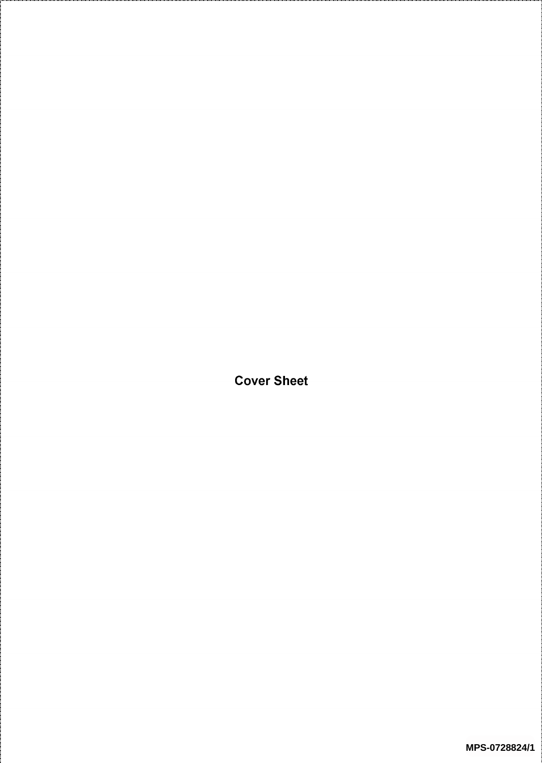Cover Sheet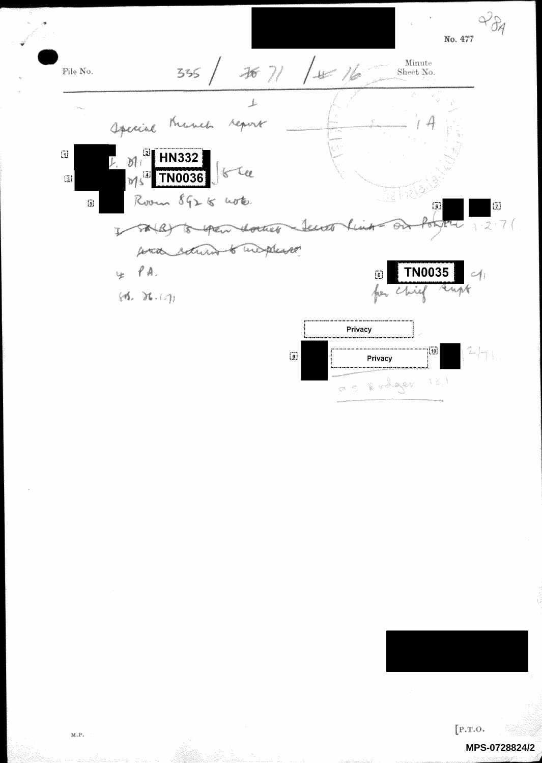



CONCRETE

キミパ

 $[P.T.O.]$ 

## **MPS-0728824/2**

 $\mathbb{M}, \mathbb{P}$  .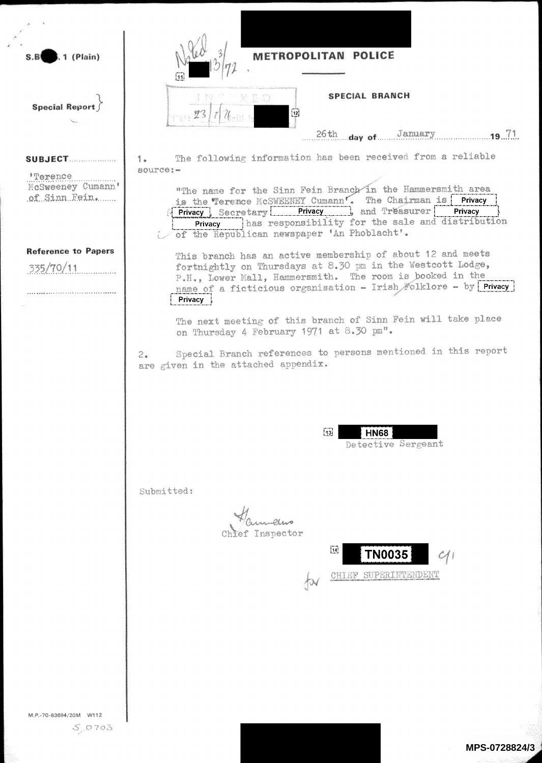

L<sub>1</sub> (Plain)

**Special Report** 

SUBJECT.....................

**MOSWEEDS** Cumann'

of Sinn Fein.

**Reference to Papers** 

'Terence

335/70/11

 $S. B$ 

POLICE METROPOLITAN

 $\overline{12}$ 

## SPECIAL BRANCH

26th day of ...... 

The following information has been received from a reliable  $\mathbf{1}_{\bullet}$ source:-

"The name for the Sinn Fein Branch in the Hammersmith area is the Terence McSWEENEY Cumann. The Chairman is Privacy<br>Privacy Secretary Privacy and Treasurer Privacy has responsibility for the sale and distribution Privacy of the Republican newspaper 'An Phoblacht'.

This branch has an active membership of about 12 and meets fortnightly on Thursdays at 8.30 pm in the Westcott Lodge, P.H., Lower Mall, Hammersmith. The room is booked in the name of a ficticious organisation - Irish Folklore - by Privacy Privacy

The next meeting of this branch of Sinn Fein will take place on Thursday 4 February 1971 at 8.30 pm".

Special Branch references to persons mentioned in this report  $2.$ are given in the attached appendix.

| <br>19, | .<br>п |                                     |
|---------|--------|-------------------------------------|
|         | Уú     | $_{\rm{min}}$<br>h in<br><b>COL</b> |

Submitted:

Inspector



M.P.-70-83694/20M W112

 $50703$